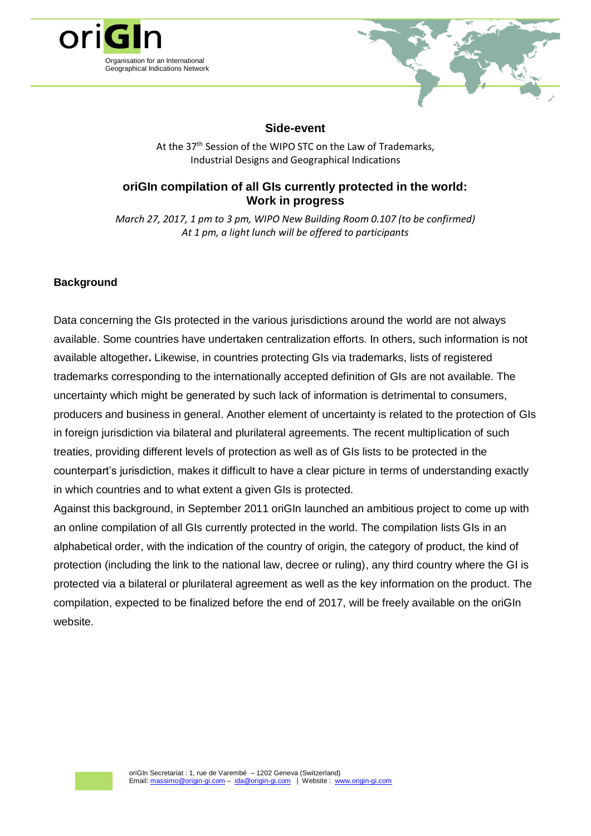



### **Side-event**

At the 37<sup>th</sup> Session of the WIPO STC on the Law of Trademarks, Industrial Designs and Geographical Indications

# **oriGIn compilation of all GIs currently protected in the world: Work in progress**

*March 27, 2017, 1 pm to 3 pm, WIPO New Building Room 0.107 (to be confirmed) At 1 pm, a light lunch will be offered to participants*

# **Background**

Data concerning the GIs protected in the various jurisdictions around the world are not always available. Some countries have undertaken centralization efforts. In others, such information is not available altogether**.** Likewise, in countries protecting GIs via trademarks, lists of registered trademarks corresponding to the internationally accepted definition of GIs are not available. The uncertainty which might be generated by such lack of information is detrimental to consumers, producers and business in general. Another element of uncertainty is related to the protection of GIs in foreign jurisdiction via bilateral and plurilateral agreements. The recent multiplication of such treaties, providing different levels of protection as well as of GIs lists to be protected in the counterpart's jurisdiction, makes it difficult to have a clear picture in terms of understanding exactly in which countries and to what extent a given GIs is protected.

Against this background, in September 2011 oriGIn launched an ambitious project to come up with an online compilation of all GIs currently protected in the world. The compilation lists GIs in an alphabetical order, with the indication of the country of origin, the category of product, the kind of protection (including the link to the national law, decree or ruling), any third country where the GI is protected via a bilateral or plurilateral agreement as well as the key information on the product. The compilation, expected to be finalized before the end of 2017, will be freely available on the oriGIn website.